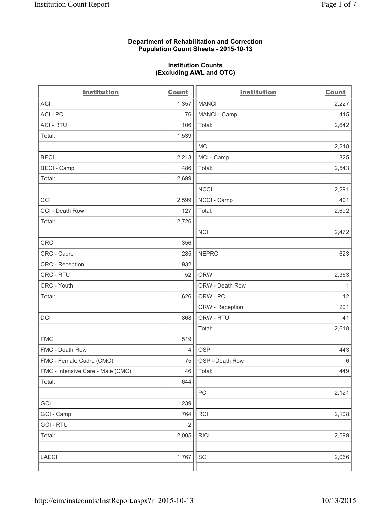#### **Department of Rehabilitation and Correction Population Count Sheets - 2015-10-13**

#### **Institution Counts (Excluding AWL and OTC)**

| <b>Institution</b>                | Count          | <b>Institution</b> | <b>Count</b> |
|-----------------------------------|----------------|--------------------|--------------|
| <b>ACI</b>                        | 1,357          | <b>MANCI</b>       | 2,227        |
| ACI-PC                            | 76             | MANCI - Camp       | 415          |
| <b>ACI - RTU</b>                  | 106            | Total:             | 2,642        |
| Total:                            | 1,539          |                    |              |
|                                   |                | MCI                | 2,218        |
| <b>BECI</b>                       | 2,213          | MCI - Camp         | 325          |
| <b>BECI</b> - Camp                | 486            | Total:             | 2,543        |
| Total:                            | 2,699          |                    |              |
|                                   |                | <b>NCCI</b>        | 2,291        |
| CCI                               | 2,599          | NCCI - Camp        | 401          |
| CCI - Death Row                   | 127            | Total:             | 2,692        |
| Total:                            | 2,726          |                    |              |
|                                   |                | <b>NCI</b>         | 2,472        |
| <b>CRC</b>                        | 356            |                    |              |
| CRC - Cadre                       | 285            | <b>NEPRC</b>       | 623          |
| CRC - Reception                   | 932            |                    |              |
| CRC - RTU                         | 52             | <b>ORW</b>         | 2,363        |
| CRC - Youth                       | $\mathbf{1}$   | ORW - Death Row    | 1            |
| Total:                            | 1,626          | ORW - PC           | 12           |
|                                   |                | ORW - Reception    | 201          |
| DCI                               | 868            | ORW - RTU          | 41           |
|                                   |                | Total:             | 2,618        |
| <b>FMC</b>                        | 519            |                    |              |
| FMC - Death Row                   | $\overline{4}$ | <b>OSP</b>         | 443          |
| FMC - Female Cadre (CMC)          | 75             | OSP - Death Row    | 6            |
| FMC - Intensive Care - Male (CMC) | 46             | Total:             | 449          |
| Total:                            | 644            |                    |              |
|                                   |                | PCI                | 2,121        |
| GCI                               | 1,239          |                    |              |
| GCI - Camp                        | 764            | <b>RCI</b>         | 2,108        |
| <b>GCI-RTU</b>                    | $\mathbf 2$    |                    |              |
| Total:                            | 2,005          | <b>RICI</b>        | 2,599        |
|                                   |                |                    |              |
| LAECI                             | 1,767          | SCI                | 2,066        |
|                                   |                |                    |              |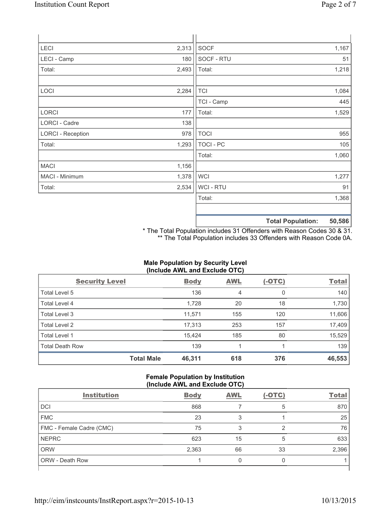| LECI                     | 2,313 | SOCF             |                          | 1,167  |
|--------------------------|-------|------------------|--------------------------|--------|
| LECI - Camp              | 180   | SOCF - RTU       |                          | 51     |
| Total:                   | 2,493 | Total:           |                          | 1,218  |
|                          |       |                  |                          |        |
| LOCI                     | 2,284 | <b>TCI</b>       |                          | 1,084  |
|                          |       | TCI - Camp       |                          | 445    |
| LORCI                    | 177   | Total:           |                          | 1,529  |
| LORCI - Cadre            | 138   |                  |                          |        |
| <b>LORCI - Reception</b> | 978   | <b>TOCI</b>      |                          | 955    |
| Total:                   | 1,293 | <b>TOCI - PC</b> |                          | 105    |
|                          |       | Total:           |                          | 1,060  |
| <b>MACI</b>              | 1,156 |                  |                          |        |
| MACI - Minimum           | 1,378 | <b>WCI</b>       |                          | 1,277  |
| Total:                   | 2,534 | <b>WCI-RTU</b>   |                          | 91     |
|                          |       | Total:           |                          | 1,368  |
|                          |       |                  |                          |        |
|                          |       |                  | <b>Total Population:</b> | 50,586 |

\* The Total Population includes 31 Offenders with Reason Codes 30 & 31. \*\* The Total Population includes 33 Offenders with Reason Code 0A.

## **Male Population by Security Level (Include AWL and Exclude OTC)**

| <b>Security Level</b>  |                   | <b>Body</b> | <b>AWL</b> | $(-OTC)$ | <b>Total</b> |
|------------------------|-------------------|-------------|------------|----------|--------------|
| Total Level 5          |                   | 136         | 4          | 0        | 140          |
| <b>Total Level 4</b>   |                   | 1,728       | 20         | 18       | 1,730        |
| Total Level 3          |                   | 11,571      | 155        | 120      | 11,606       |
| Total Level 2          |                   | 17,313      | 253        | 157      | 17,409       |
| Total Level 1          |                   | 15,424      | 185        | 80       | 15,529       |
| <b>Total Death Row</b> |                   | 139         | 1          |          | 139          |
|                        | <b>Total Male</b> | 46,311      | 618        | 376      | 46,553       |

### **Female Population by Institution (Include AWL and Exclude OTC)**

| <b>Institution</b>       | <b>Body</b> | <b>AWL</b> | $(-OTC)$ | <b>Total</b> |  |
|--------------------------|-------------|------------|----------|--------------|--|
| <b>DCI</b>               | 868         |            | 5        | 870          |  |
| <b>FMC</b>               | 23          | 3          |          | 25           |  |
| FMC - Female Cadre (CMC) | 75          | 3          | っ        | 76           |  |
| <b>NEPRC</b>             | 623         | 15         | 5        | 633          |  |
| <b>ORW</b>               | 2,363       | 66         | 33       | 2,396        |  |
| <b>ORW - Death Row</b>   |             | 0          |          |              |  |
|                          |             |            |          |              |  |

٦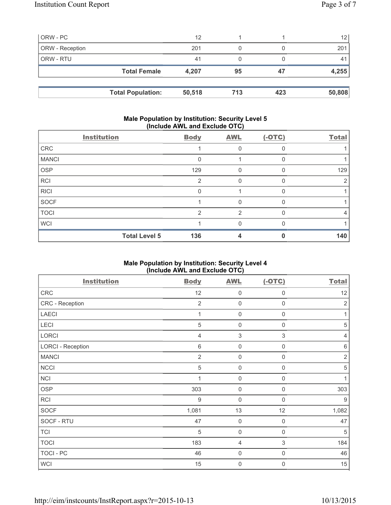| ORW - PC        |                     | 12    |    |    | 12    |
|-----------------|---------------------|-------|----|----|-------|
| ORW - Reception |                     | 201   | 0  |    | 201   |
| ORW - RTU       |                     | 41    |    |    | 41    |
|                 | <b>Total Female</b> | 4,207 | 95 | 47 | 4,255 |
|                 |                     |       |    |    |       |
|                 |                     |       |    |    |       |

#### **Male Population by Institution: Security Level 5 (Include AWL and Exclude OTC)**

| <b>Institution</b>   | <b>Body</b>    | <b>AWL</b> | $(-OTC)$     | <b>Total</b> |
|----------------------|----------------|------------|--------------|--------------|
| CRC                  |                | 0          | O            |              |
| <b>MANCI</b>         | 0              |            |              |              |
| <b>OSP</b>           | 129            | 0          | $\Omega$     | 129          |
| <b>RCI</b>           | $\overline{2}$ | 0          | $\Omega$     |              |
| <b>RICI</b>          | $\Omega$       |            | <sup>0</sup> |              |
| SOCF                 |                | 0          | <sup>0</sup> |              |
| <b>TOCI</b>          | $\mathcal{P}$  | 2          |              | 4            |
| <b>WCI</b>           |                | O          | <sup>0</sup> |              |
| <b>Total Level 5</b> | 136            | 4          |              | 140          |

## **Male Population by Institution: Security Level 4 (Include AWL and Exclude OTC)**

| <b>Institution</b>       | <b>Body</b>    | <b>AWL</b>                | $(-OTC)$                  | <b>Total</b>   |
|--------------------------|----------------|---------------------------|---------------------------|----------------|
| CRC                      | 12             | $\mathbf 0$               | $\mathsf 0$               | 12             |
| CRC - Reception          | $\overline{2}$ | $\mathbf 0$               | $\mathbf 0$               | $\overline{2}$ |
| <b>LAECI</b>             | 1              | $\mathbf 0$               | $\mathsf 0$               | $\mathbf{1}$   |
| LECI                     | $\sqrt{5}$     | $\mathbf 0$               | $\mathsf{O}\xspace$       | $\,$ 5 $\,$    |
| <b>LORCI</b>             | $\overline{4}$ | $\ensuremath{\mathsf{3}}$ | $\,$ 3 $\,$               | $\overline{4}$ |
| <b>LORCI - Reception</b> | $\,6\,$        | $\mathbf 0$               | $\mathsf 0$               | $\,6\,$        |
| <b>MANCI</b>             | $\overline{2}$ | $\mathbf 0$               | $\boldsymbol{0}$          | $\sqrt{2}$     |
| <b>NCCI</b>              | $\sqrt{5}$     | $\mathbf 0$               | 0                         | $\sqrt{5}$     |
| <b>NCI</b>               |                | $\mathbf 0$               | 0                         | 1              |
| <b>OSP</b>               | 303            | $\mathbf 0$               | 0                         | 303            |
| <b>RCI</b>               | $9\,$          | $\mathbf 0$               | $\mathsf{O}\xspace$       | 9              |
| <b>SOCF</b>              | 1,081          | 13                        | 12                        | 1,082          |
| SOCF - RTU               | 47             | $\mathsf 0$               | 0                         | 47             |
| <b>TCI</b>               | 5              | $\mathbf 0$               | $\mathbf 0$               | $\sqrt{5}$     |
| <b>TOCI</b>              | 183            | 4                         | $\ensuremath{\mathsf{3}}$ | 184            |
| <b>TOCI - PC</b>         | 46             | $\mathbf 0$               | $\mathsf 0$               | 46             |
| <b>WCI</b>               | 15             | $\mathsf{O}\xspace$       | $\boldsymbol{0}$          | 15             |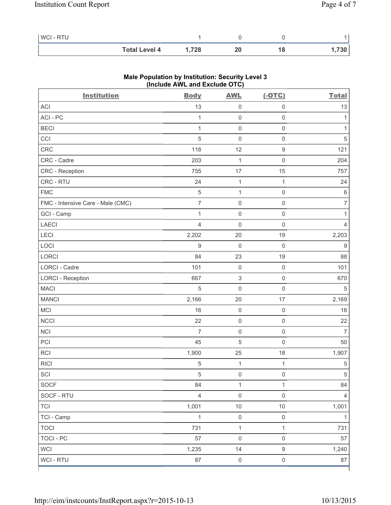| <b>WCI-RTU</b> |                      |      |    |  |
|----------------|----------------------|------|----|--|
|                | <b>Total Level 4</b> | ,728 | 18 |  |

| <b>Institution</b>                | <b>Body</b>    | <b>AWL</b>                | $(-OTC)$            | <b>Total</b>     |
|-----------------------------------|----------------|---------------------------|---------------------|------------------|
| ACI                               | 13             | $\mathsf{O}\xspace$       | 0                   | 13               |
| ACI-PC                            | 1              | $\mathsf 0$               | $\mathsf{O}\xspace$ | 1                |
| <b>BECI</b>                       | 1              | $\mathsf{O}\xspace$       | $\mathsf{O}\xspace$ | 1                |
| CCI                               | 5              | $\mathsf{O}\xspace$       | $\mathsf 0$         | $\sqrt{5}$       |
| <b>CRC</b>                        | 118            | 12                        | $\hbox{9}$          | 121              |
| CRC - Cadre                       | 203            | $\mathbf 1$               | $\mathsf 0$         | 204              |
| CRC - Reception                   | 755            | 17                        | 15                  | 757              |
| CRC - RTU                         | 24             | $\mathbf 1$               | 1                   | 24               |
| <b>FMC</b>                        | $\sqrt{5}$     | $\mathbf{1}$              | $\mathsf 0$         | $\,6\,$          |
| FMC - Intensive Care - Male (CMC) | $\overline{7}$ | $\mathsf{O}\xspace$       | $\mathsf{O}\xspace$ | $\overline{7}$   |
| GCI - Camp                        | 1              | $\mathsf{O}\xspace$       | $\mathsf 0$         | 1                |
| <b>LAECI</b>                      | $\overline{4}$ | $\mathsf{O}\xspace$       | $\mathsf{O}\xspace$ | 4                |
| LECI                              | 2,202          | 20                        | 19                  | 2,203            |
| LOCI                              | $\hbox{9}$     | $\mathbf 0$               | $\mathbf 0$         | $\boldsymbol{9}$ |
| LORCI                             | 84             | 23                        | 19                  | 88               |
| LORCI - Cadre                     | 101            | $\mathsf{O}\xspace$       | $\mathbf 0$         | 101              |
| <b>LORCI - Reception</b>          | 667            | $\ensuremath{\mathsf{3}}$ | $\mathsf{O}\xspace$ | 670              |
| <b>MACI</b>                       | $\sqrt{5}$     | $\mathbf 0$               | $\mathbf 0$         | 5                |
| <b>MANCI</b>                      | 2,166          | 20                        | 17                  | 2,169            |
| MCI                               | 16             | $\mathsf{O}\xspace$       | $\mathsf 0$         | $16$             |
| <b>NCCI</b>                       | 22             | $\mathsf{O}\xspace$       | $\mathsf 0$         | 22               |
| <b>NCI</b>                        | $\overline{7}$ | $\mathsf{O}\xspace$       | $\mathsf{O}\xspace$ | $\overline{7}$   |
| PCI                               | 45             | 5                         | $\mathbf 0$         | 50               |
| RCI                               | 1,900          | 25                        | 18                  | 1,907            |
| <b>RICI</b>                       | $\sqrt{5}$     | $\mathbf 1$               | 1                   | $\,$ 5 $\,$      |
| SCI                               | $\sqrt{5}$     | $\mathsf{O}\xspace$       | $\mathsf 0$         | $\,$ 5 $\,$      |
| SOCF                              | 84             | 1                         | 1                   | 84               |
| SOCF - RTU                        | $\overline{4}$ | $\mathsf{O}\xspace$       | $\mathsf 0$         | 4                |
| <b>TCI</b>                        | 1,001          | $10$                      | $10$                | 1,001            |
| TCI - Camp                        | $\mathbf{1}$   | $\mathsf{O}\xspace$       | $\mathsf{O}\xspace$ | 1                |
| <b>TOCI</b>                       | 731            | $\mathbf{1}$              | $\mathbf{1}$        | 731              |
| <b>TOCI - PC</b>                  | 57             | $\mathsf{O}\xspace$       | $\mathsf{O}\xspace$ | 57               |
| <b>WCI</b>                        | 1,235          | 14                        | 9                   | 1,240            |
| WCI - RTU                         | 87             | $\mathsf{O}\xspace$       | $\mathsf{O}\xspace$ | 87               |

# **Male Population by Institution: Security Level 3 (Include AWL and Exclude OTC)**

ľ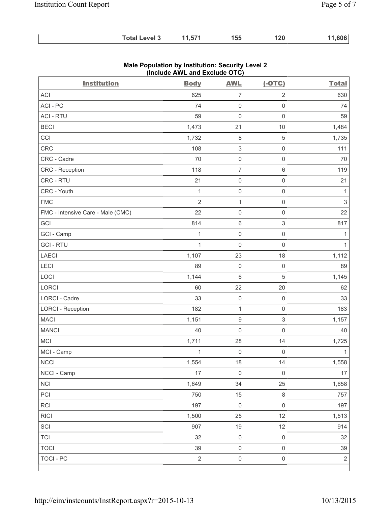| 11,606<br>11,571<br><b>Total Level 3</b><br>155<br>120 |
|--------------------------------------------------------|
|--------------------------------------------------------|

| <b>Institution</b>                | <b>Body</b>    | <b>AWL</b>                | $(-OTC)$                  | <b>Total</b>   |
|-----------------------------------|----------------|---------------------------|---------------------------|----------------|
| <b>ACI</b>                        | 625            | $\overline{7}$            | $\overline{2}$            | 630            |
| ACI-PC                            | 74             | $\mathbf 0$               | $\mathsf{O}\xspace$       | 74             |
| <b>ACI - RTU</b>                  | 59             | $\mathbf 0$               | $\mathsf 0$               | 59             |
| <b>BECI</b>                       | 1,473          | 21                        | $10$                      | 1,484          |
| CCI                               | 1,732          | $\,8\,$                   | $\sqrt{5}$                | 1,735          |
| CRC                               | 108            | $\ensuremath{\mathsf{3}}$ | $\mathsf 0$               | 111            |
| CRC - Cadre                       | 70             | $\mathsf 0$               | $\mathsf 0$               | 70             |
| CRC - Reception                   | 118            | $\overline{7}$            | $6\,$                     | 119            |
| CRC - RTU                         | 21             | $\mathsf{O}\xspace$       | $\mathsf 0$               | 21             |
| CRC - Youth                       | $\mathbf{1}$   | $\mathsf{O}\xspace$       | $\mathsf 0$               | 1              |
| <b>FMC</b>                        | $\overline{2}$ | $\mathbf{1}$              | $\mathsf 0$               | $\mathfrak{S}$ |
| FMC - Intensive Care - Male (CMC) | 22             | $\mathsf{O}\xspace$       | $\mathsf 0$               | 22             |
| GCI                               | 814            | $\,6\,$                   | $\ensuremath{\mathsf{3}}$ | 817            |
| GCI - Camp                        | $\mathbf{1}$   | $\mathsf{O}\xspace$       | $\mathsf 0$               | 1              |
| <b>GCI-RTU</b>                    | $\mathbf{1}$   | $\mathbf 0$               | $\mathsf 0$               | 1              |
| <b>LAECI</b>                      | 1,107          | 23                        | 18                        | 1,112          |
| LECI                              | 89             | $\mathsf{O}\xspace$       | $\mathsf{O}\xspace$       | 89             |
| LOCI                              | 1,144          | $\,6\,$                   | $\sqrt{5}$                | 1,145          |
| LORCI                             | 60             | 22                        | 20                        | 62             |
| LORCI - Cadre                     | 33             | $\mathsf{O}\xspace$       | $\mathsf{O}\xspace$       | 33             |
| <b>LORCI - Reception</b>          | 182            | $\mathbf 1$               | $\mathsf 0$               | 183            |
| <b>MACI</b>                       | 1,151          | $\boldsymbol{9}$          | $\ensuremath{\mathsf{3}}$ | 1,157          |
| <b>MANCI</b>                      | 40             | $\mathsf{O}\xspace$       | $\mathbf 0$               | 40             |
| <b>MCI</b>                        | 1,711          | 28                        | 14                        | 1,725          |
| MCI - Camp                        | $\mathbf{1}$   | $\mathsf{O}\xspace$       | $\mathsf 0$               | 1              |
| <b>NCCI</b>                       | 1,554          | 18                        | 14                        | 1,558          |
| NCCI - Camp                       | 17             | $\mathsf 0$               | $\mathsf 0$               | 17             |
| <b>NCI</b>                        | 1,649          | 34                        | 25                        | 1,658          |
| PCI                               | 750            | 15                        | $\,8\,$                   | 757            |
| RCI                               | 197            | $\mathsf{O}\xspace$       | $\mathsf 0$               | 197            |
| <b>RICI</b>                       | 1,500          | 25                        | 12                        | 1,513          |
| SCI                               | 907            | 19                        | 12                        | 914            |
| <b>TCI</b>                        | 32             | $\mathsf{O}\xspace$       | $\mathsf{O}\xspace$       | 32             |
| <b>TOCI</b>                       | 39             | $\mathsf{O}\xspace$       | $\mathsf 0$               | 39             |
| <b>TOCI - PC</b>                  | $\overline{2}$ | $\mathsf{O}\xspace$       | $\mathsf{O}\xspace$       | $\sqrt{2}$     |

### **Male Population by Institution: Security Level 2 (Include AWL and Exclude OTC)**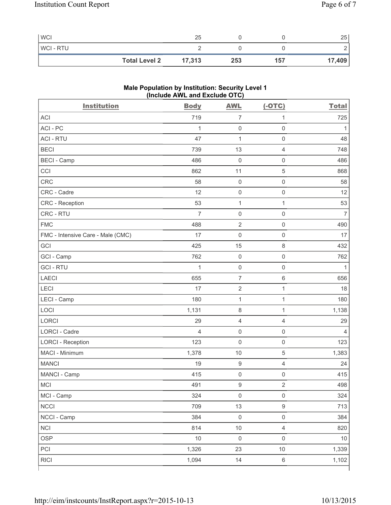| <b>WCI</b>     |                      | 25     |     |     | 25     |
|----------------|----------------------|--------|-----|-----|--------|
| <b>WCI-RTU</b> |                      |        |     |     | -      |
|                | <b>Total Level 2</b> | 17,313 | 253 | 157 | 17,409 |

# **Male Population by Institution: Security Level 1 (Include AWL and Exclude OTC)**

| <b>Institution</b>                | <b>Body</b>    | <b>AWL</b>          | $(-OTC)$            | <b>Total</b>   |
|-----------------------------------|----------------|---------------------|---------------------|----------------|
| <b>ACI</b>                        | 719            | $\overline{7}$      | $\mathbf{1}$        | 725            |
| ACI-PC                            | $\mathbf{1}$   | $\mathsf{O}\xspace$ | $\mathsf{O}\xspace$ | 1              |
| <b>ACI - RTU</b>                  | 47             | $\mathbf 1$         | $\mathsf 0$         | 48             |
| <b>BECI</b>                       | 739            | 13                  | 4                   | 748            |
| <b>BECI - Camp</b>                | 486            | $\mathbf 0$         | $\mathbf 0$         | 486            |
| CCI                               | 862            | 11                  | $\overline{5}$      | 868            |
| <b>CRC</b>                        | 58             | $\mathsf{O}\xspace$ | $\mathsf{O}\xspace$ | 58             |
| CRC - Cadre                       | 12             | $\mathsf{O}\xspace$ | $\mathsf 0$         | 12             |
| CRC - Reception                   | 53             | $\mathbf{1}$        | $\mathbf{1}$        | 53             |
| CRC - RTU                         | $\overline{7}$ | $\mathsf{O}\xspace$ | $\mathsf 0$         | $\overline{7}$ |
| <b>FMC</b>                        | 488            | $\sqrt{2}$          | $\mathsf 0$         | 490            |
| FMC - Intensive Care - Male (CMC) | 17             | $\mathsf{O}\xspace$ | $\mathsf 0$         | 17             |
| GCI                               | 425            | 15                  | $\,8\,$             | 432            |
| GCI - Camp                        | 762            | $\mathsf{O}\xspace$ | $\mathsf{O}\xspace$ | 762            |
| <b>GCI-RTU</b>                    | $\mathbf{1}$   | $\mathsf 0$         | $\mathsf 0$         | $\mathbf{1}$   |
| <b>LAECI</b>                      | 655            | $\overline{7}$      | $6\,$               | 656            |
| LECI                              | 17             | $\sqrt{2}$          | $\mathbf{1}$        | 18             |
| LECI - Camp                       | 180            | $\mathbf{1}$        | $\mathbf{1}$        | 180            |
| LOCI                              | 1,131          | $\,8\,$             | $\mathbf{1}$        | 1,138          |
| LORCI                             | 29             | $\overline{4}$      | $\overline{4}$      | 29             |
| <b>LORCI - Cadre</b>              | 4              | $\mathsf{O}\xspace$ | $\mathsf{O}\xspace$ | $\overline{4}$ |
| <b>LORCI - Reception</b>          | 123            | $\mathsf{O}\xspace$ | $\mathsf 0$         | 123            |
| MACI - Minimum                    | 1,378          | 10                  | $\sqrt{5}$          | 1,383          |
| <b>MANCI</b>                      | 19             | $\hbox{9}$          | $\overline{4}$      | 24             |
| MANCI - Camp                      | 415            | $\mathsf 0$         | $\mathsf{O}\xspace$ | 415            |
| <b>MCI</b>                        | 491            | $\boldsymbol{9}$    | $\overline{c}$      | 498            |
| MCI - Camp                        | 324            | $\mathsf{O}\xspace$ | $\mathsf 0$         | 324            |
| <b>NCCI</b>                       | 709            | 13                  | $\boldsymbol{9}$    | 713            |
| NCCI - Camp                       | 384            | $\mathsf{O}\xspace$ | $\mathsf 0$         | 384            |
| <b>NCI</b>                        | 814            | $10$                | $\overline{4}$      | 820            |
| <b>OSP</b>                        | $10$           | $\mathsf{O}\xspace$ | $\mathsf{O}\xspace$ | $10$           |
| PCI                               | 1,326          | 23                  | $10$                | 1,339          |
| <b>RICI</b>                       | 1,094          | 14                  | $\,6\,$             | 1,102          |